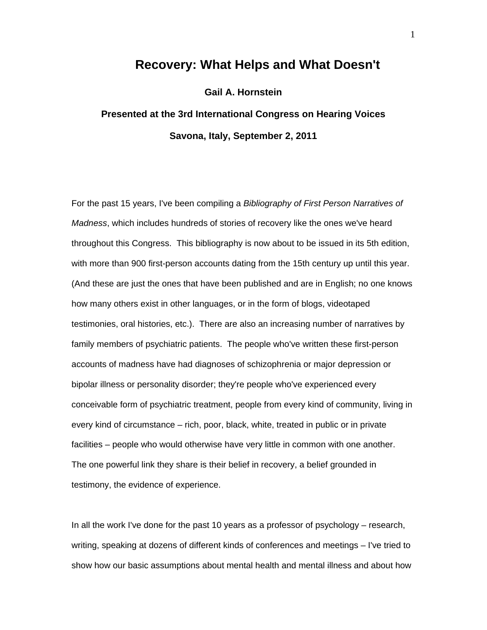## **Recovery: What Helps and What Doesn't**

## **Gail A. Hornstein**

## **Presented at the 3rd International Congress on Hearing Voices Savona, Italy, September 2, 2011**

For the past 15 years, I've been compiling a *Bibliography of First Person Narratives of Madness*, which includes hundreds of stories of recovery like the ones we've heard throughout this Congress. This bibliography is now about to be issued in its 5th edition, with more than 900 first-person accounts dating from the 15th century up until this year. (And these are just the ones that have been published and are in English; no one knows how many others exist in other languages, or in the form of blogs, videotaped testimonies, oral histories, etc.). There are also an increasing number of narratives by family members of psychiatric patients. The people who've written these first-person accounts of madness have had diagnoses of schizophrenia or major depression or bipolar illness or personality disorder; they're people who've experienced every conceivable form of psychiatric treatment, people from every kind of community, living in every kind of circumstance – rich, poor, black, white, treated in public or in private facilities – people who would otherwise have very little in common with one another. The one powerful link they share is their belief in recovery, a belief grounded in testimony, the evidence of experience.

In all the work I've done for the past 10 years as a professor of psychology – research, writing, speaking at dozens of different kinds of conferences and meetings – I've tried to show how our basic assumptions about mental health and mental illness and about how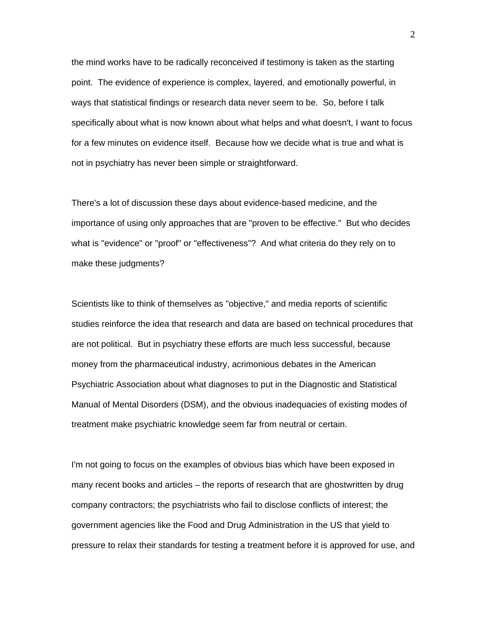the mind works have to be radically reconceived if testimony is taken as the starting point. The evidence of experience is complex, layered, and emotionally powerful, in ways that statistical findings or research data never seem to be. So, before I talk specifically about what is now known about what helps and what doesn't, I want to focus for a few minutes on evidence itself. Because how we decide what is true and what is not in psychiatry has never been simple or straightforward.

There's a lot of discussion these days about evidence-based medicine, and the importance of using only approaches that are "proven to be effective." But who decides what is "evidence" or "proof" or "effectiveness"? And what criteria do they rely on to make these judgments?

Scientists like to think of themselves as "objective," and media reports of scientific studies reinforce the idea that research and data are based on technical procedures that are not political. But in psychiatry these efforts are much less successful, because money from the pharmaceutical industry, acrimonious debates in the American Psychiatric Association about what diagnoses to put in the Diagnostic and Statistical Manual of Mental Disorders (DSM), and the obvious inadequacies of existing modes of treatment make psychiatric knowledge seem far from neutral or certain.

I'm not going to focus on the examples of obvious bias which have been exposed in many recent books and articles – the reports of research that are ghostwritten by drug company contractors; the psychiatrists who fail to disclose conflicts of interest; the government agencies like the Food and Drug Administration in the US that yield to pressure to relax their standards for testing a treatment before it is approved for use, and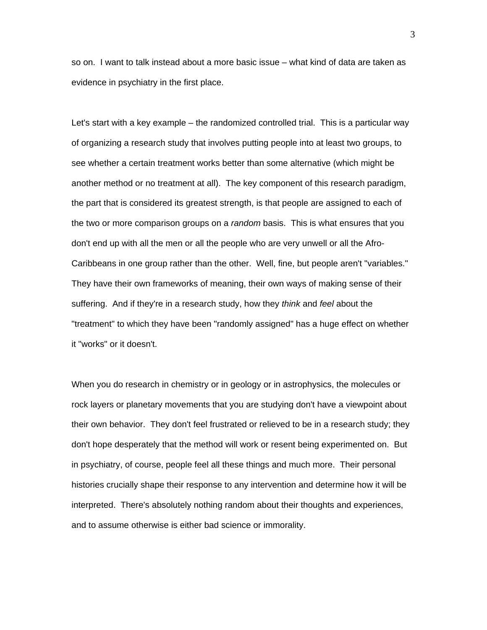so on. I want to talk instead about a more basic issue – what kind of data are taken as evidence in psychiatry in the first place.

Let's start with a key example – the randomized controlled trial. This is a particular way of organizing a research study that involves putting people into at least two groups, to see whether a certain treatment works better than some alternative (which might be another method or no treatment at all). The key component of this research paradigm, the part that is considered its greatest strength, is that people are assigned to each of the two or more comparison groups on a *random* basis. This is what ensures that you don't end up with all the men or all the people who are very unwell or all the Afro-Caribbeans in one group rather than the other. Well, fine, but people aren't "variables." They have their own frameworks of meaning, their own ways of making sense of their suffering. And if they're in a research study, how they *think* and *feel* about the "treatment" to which they have been "randomly assigned" has a huge effect on whether it "works" or it doesn't.

When you do research in chemistry or in geology or in astrophysics, the molecules or rock layers or planetary movements that you are studying don't have a viewpoint about their own behavior. They don't feel frustrated or relieved to be in a research study; they don't hope desperately that the method will work or resent being experimented on. But in psychiatry, of course, people feel all these things and much more. Their personal histories crucially shape their response to any intervention and determine how it will be interpreted. There's absolutely nothing random about their thoughts and experiences, and to assume otherwise is either bad science or immorality.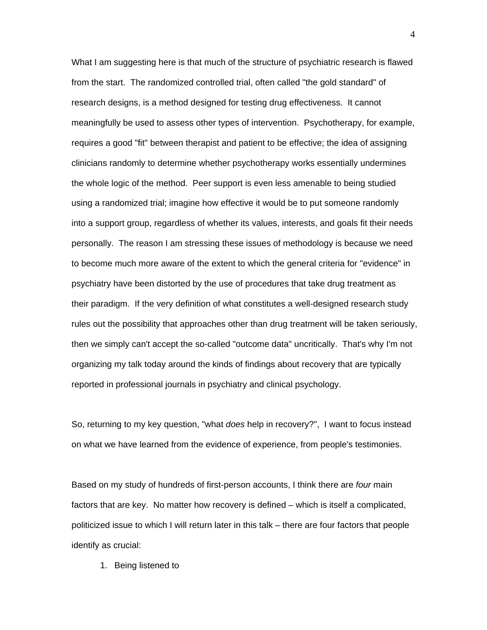What I am suggesting here is that much of the structure of psychiatric research is flawed from the start. The randomized controlled trial, often called "the gold standard" of research designs, is a method designed for testing drug effectiveness. It cannot meaningfully be used to assess other types of intervention. Psychotherapy, for example, requires a good "fit" between therapist and patient to be effective; the idea of assigning clinicians randomly to determine whether psychotherapy works essentially undermines the whole logic of the method. Peer support is even less amenable to being studied using a randomized trial; imagine how effective it would be to put someone randomly into a support group, regardless of whether its values, interests, and goals fit their needs personally. The reason I am stressing these issues of methodology is because we need to become much more aware of the extent to which the general criteria for "evidence" in psychiatry have been distorted by the use of procedures that take drug treatment as their paradigm. If the very definition of what constitutes a well-designed research study rules out the possibility that approaches other than drug treatment will be taken seriously, then we simply can't accept the so-called "outcome data" uncritically. That's why I'm not organizing my talk today around the kinds of findings about recovery that are typically reported in professional journals in psychiatry and clinical psychology.

So, returning to my key question, "what *does* help in recovery?", I want to focus instead on what we have learned from the evidence of experience, from people's testimonies.

Based on my study of hundreds of first-person accounts, I think there are *four* main factors that are key. No matter how recovery is defined – which is itself a complicated, politicized issue to which I will return later in this talk – there are four factors that people identify as crucial:

1. Being listened to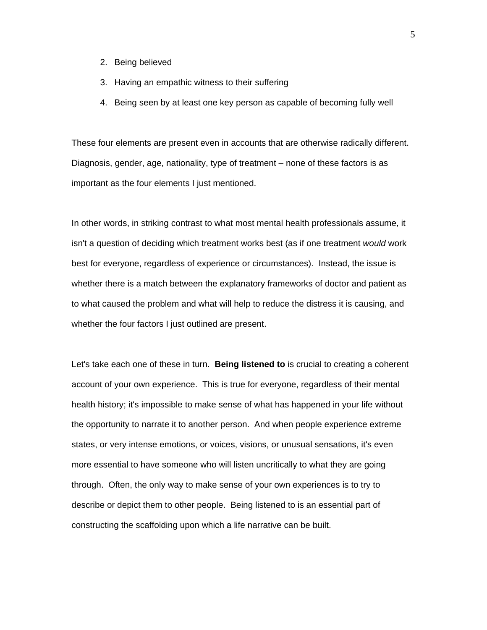- 2. Being believed
- 3. Having an empathic witness to their suffering
- 4. Being seen by at least one key person as capable of becoming fully well

These four elements are present even in accounts that are otherwise radically different. Diagnosis, gender, age, nationality, type of treatment – none of these factors is as important as the four elements I just mentioned.

In other words, in striking contrast to what most mental health professionals assume, it isn't a question of deciding which treatment works best (as if one treatment *would* work best for everyone, regardless of experience or circumstances). Instead, the issue is whether there is a match between the explanatory frameworks of doctor and patient as to what caused the problem and what will help to reduce the distress it is causing, and whether the four factors I just outlined are present.

Let's take each one of these in turn. **Being listened to** is crucial to creating a coherent account of your own experience. This is true for everyone, regardless of their mental health history; it's impossible to make sense of what has happened in your life without the opportunity to narrate it to another person. And when people experience extreme states, or very intense emotions, or voices, visions, or unusual sensations, it's even more essential to have someone who will listen uncritically to what they are going through. Often, the only way to make sense of your own experiences is to try to describe or depict them to other people. Being listened to is an essential part of constructing the scaffolding upon which a life narrative can be built.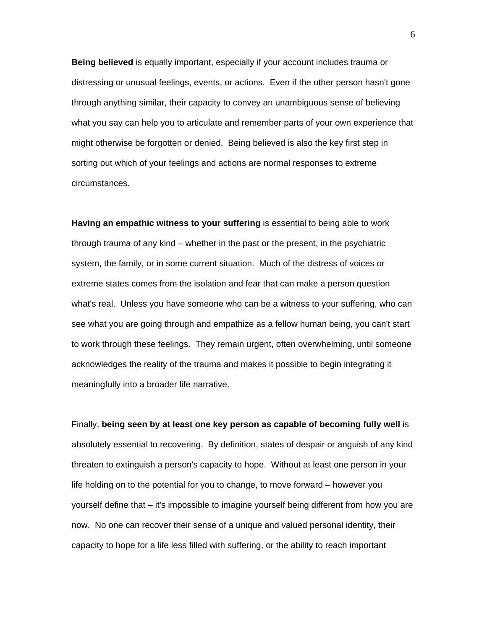**Being believed** is equally important, especially if your account includes trauma or distressing or unusual feelings, events, or actions. Even if the other person hasn't gone through anything similar, their capacity to convey an unambiguous sense of believing what you say can help you to articulate and remember parts of your own experience that might otherwise be forgotten or denied. Being believed is also the key first step in sorting out which of your feelings and actions are normal responses to extreme circumstances.

**Having an empathic witness to your suffering** is essential to being able to work through trauma of any kind – whether in the past or the present, in the psychiatric system, the family, or in some current situation. Much of the distress of voices or extreme states comes from the isolation and fear that can make a person question what's real. Unless you have someone who can be a witness to your suffering, who can see what you are going through and empathize as a fellow human being, you can't start to work through these feelings. They remain urgent, often overwhelming, until someone acknowledges the reality of the trauma and makes it possible to begin integrating it meaningfully into a broader life narrative.

Finally, **being seen by at least one key person as capable of becoming fully well** is absolutely essential to recovering. By definition, states of despair or anguish of any kind threaten to extinguish a person's capacity to hope. Without at least one person in your life holding on to the potential for you to change, to move forward – however you yourself define that – it's impossible to imagine yourself being different from how you are now. No one can recover their sense of a unique and valued personal identity, their capacity to hope for a life less filled with suffering, or the ability to reach important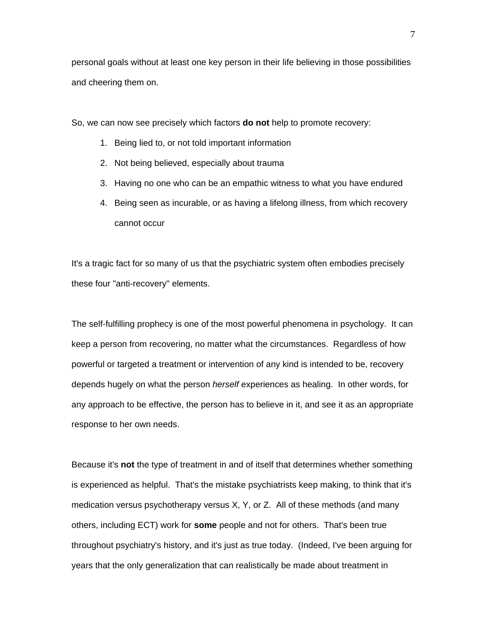personal goals without at least one key person in their life believing in those possibilities and cheering them on.

So, we can now see precisely which factors **do not** help to promote recovery:

- 1. Being lied to, or not told important information
- 2. Not being believed, especially about trauma
- 3. Having no one who can be an empathic witness to what you have endured
- 4. Being seen as incurable, or as having a lifelong illness, from which recovery cannot occur

It's a tragic fact for so many of us that the psychiatric system often embodies precisely these four "anti-recovery" elements.

The self-fulfilling prophecy is one of the most powerful phenomena in psychology. It can keep a person from recovering, no matter what the circumstances. Regardless of how powerful or targeted a treatment or intervention of any kind is intended to be, recovery depends hugely on what the person *herself* experiences as healing. In other words, for any approach to be effective, the person has to believe in it, and see it as an appropriate response to her own needs.

Because it's **not** the type of treatment in and of itself that determines whether something is experienced as helpful. That's the mistake psychiatrists keep making, to think that it's medication versus psychotherapy versus X, Y, or Z. All of these methods (and many others, including ECT) work for **some** people and not for others. That's been true throughout psychiatry's history, and it's just as true today. (Indeed, I've been arguing for years that the only generalization that can realistically be made about treatment in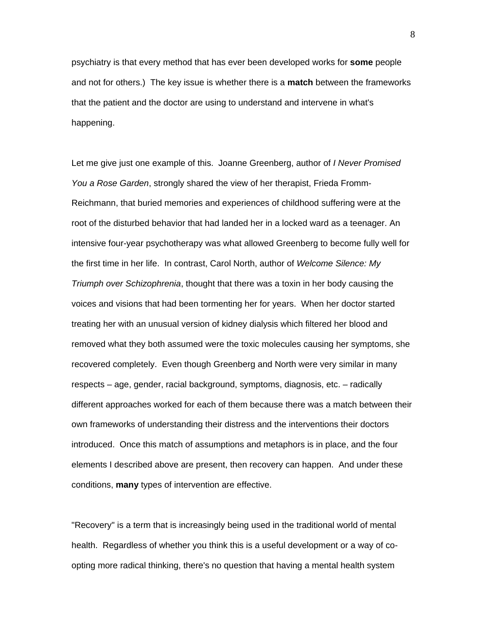psychiatry is that every method that has ever been developed works for **some** people and not for others.) The key issue is whether there is a **match** between the frameworks that the patient and the doctor are using to understand and intervene in what's happening.

Let me give just one example of this. Joanne Greenberg, author of *I Never Promised You a Rose Garden*, strongly shared the view of her therapist, Frieda Fromm-Reichmann, that buried memories and experiences of childhood suffering were at the root of the disturbed behavior that had landed her in a locked ward as a teenager. An intensive four-year psychotherapy was what allowed Greenberg to become fully well for the first time in her life. In contrast, Carol North, author of *Welcome Silence: My Triumph over Schizophrenia*, thought that there was a toxin in her body causing the voices and visions that had been tormenting her for years. When her doctor started treating her with an unusual version of kidney dialysis which filtered her blood and removed what they both assumed were the toxic molecules causing her symptoms, she recovered completely. Even though Greenberg and North were very similar in many respects – age, gender, racial background, symptoms, diagnosis, etc. – radically different approaches worked for each of them because there was a match between their own frameworks of understanding their distress and the interventions their doctors introduced. Once this match of assumptions and metaphors is in place, and the four elements I described above are present, then recovery can happen. And under these conditions, **many** types of intervention are effective.

"Recovery" is a term that is increasingly being used in the traditional world of mental health. Regardless of whether you think this is a useful development or a way of coopting more radical thinking, there's no question that having a mental health system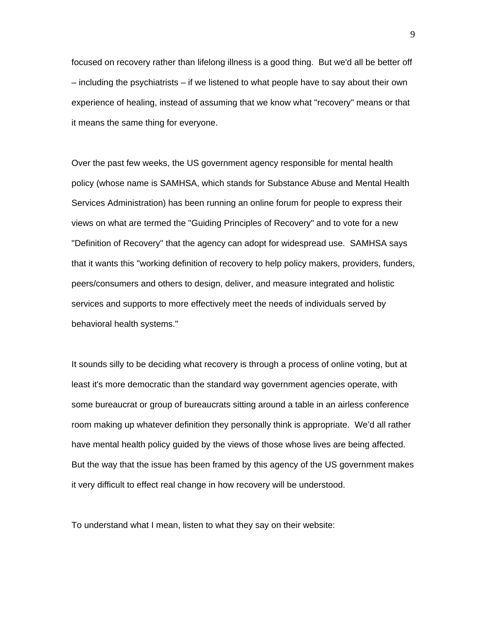focused on recovery rather than lifelong illness is a good thing. But we'd all be better off – including the psychiatrists – if we listened to what people have to say about their own experience of healing, instead of assuming that we know what "recovery" means or that it means the same thing for everyone.

Over the past few weeks, the US government agency responsible for mental health policy (whose name is SAMHSA, which stands for Substance Abuse and Mental Health Services Administration) has been running an online forum for people to express their views on what are termed the "Guiding Principles of Recovery" and to vote for a new "Definition of Recovery" that the agency can adopt for widespread use. SAMHSA says that it wants this "working definition of recovery to help policy makers, providers, funders, peers/consumers and others to design, deliver, and measure integrated and holistic services and supports to more effectively meet the needs of individuals served by behavioral health systems."

It sounds silly to be deciding what recovery is through a process of online voting, but at least it's more democratic than the standard way government agencies operate, with some bureaucrat or group of bureaucrats sitting around a table in an airless conference room making up whatever definition they personally think is appropriate. We'd all rather have mental health policy guided by the views of those whose lives are being affected. But the way that the issue has been framed by this agency of the US government makes it very difficult to effect real change in how recovery will be understood.

To understand what I mean, listen to what they say on their website: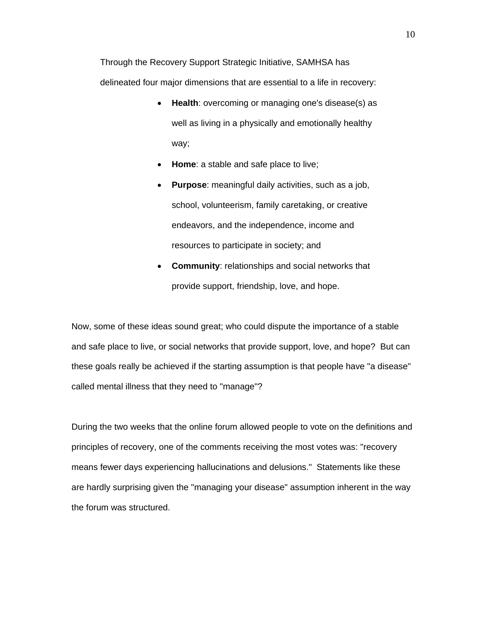Through the Recovery Support Strategic Initiative, SAMHSA has delineated four major dimensions that are essential to a life in recovery:

- **Health**: overcoming or managing one's disease(s) as well as living in a physically and emotionally healthy way;
- **Home**: a stable and safe place to live;
- **Purpose**: meaningful daily activities, such as a job, school, volunteerism, family caretaking, or creative endeavors, and the independence, income and resources to participate in society; and
- **Community**: relationships and social networks that provide support, friendship, love, and hope.

Now, some of these ideas sound great; who could dispute the importance of a stable and safe place to live, or social networks that provide support, love, and hope? But can these goals really be achieved if the starting assumption is that people have "a disease" called mental illness that they need to "manage"?

During the two weeks that the online forum allowed people to vote on the definitions and principles of recovery, one of the comments receiving the most votes was: "recovery means fewer days experiencing hallucinations and delusions." Statements like these are hardly surprising given the "managing your disease" assumption inherent in the way the forum was structured.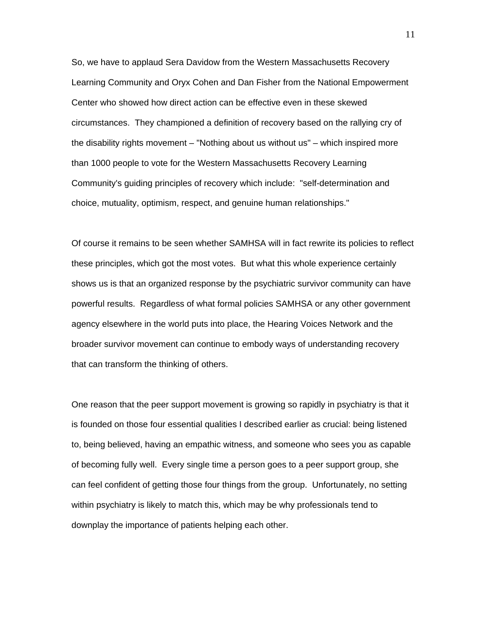So, we have to applaud Sera Davidow from the Western Massachusetts Recovery Learning Community and Oryx Cohen and Dan Fisher from the National Empowerment Center who showed how direct action can be effective even in these skewed circumstances. They championed a definition of recovery based on the rallying cry of the disability rights movement – "Nothing about us without us" – which inspired more than 1000 people to vote for the Western Massachusetts Recovery Learning Community's guiding principles of recovery which include: "self-determination and choice, mutuality, optimism, respect, and genuine human relationships."

Of course it remains to be seen whether SAMHSA will in fact rewrite its policies to reflect these principles, which got the most votes. But what this whole experience certainly shows us is that an organized response by the psychiatric survivor community can have powerful results. Regardless of what formal policies SAMHSA or any other government agency elsewhere in the world puts into place, the Hearing Voices Network and the broader survivor movement can continue to embody ways of understanding recovery that can transform the thinking of others.

One reason that the peer support movement is growing so rapidly in psychiatry is that it is founded on those four essential qualities I described earlier as crucial: being listened to, being believed, having an empathic witness, and someone who sees you as capable of becoming fully well. Every single time a person goes to a peer support group, she can feel confident of getting those four things from the group. Unfortunately, no setting within psychiatry is likely to match this, which may be why professionals tend to downplay the importance of patients helping each other.

11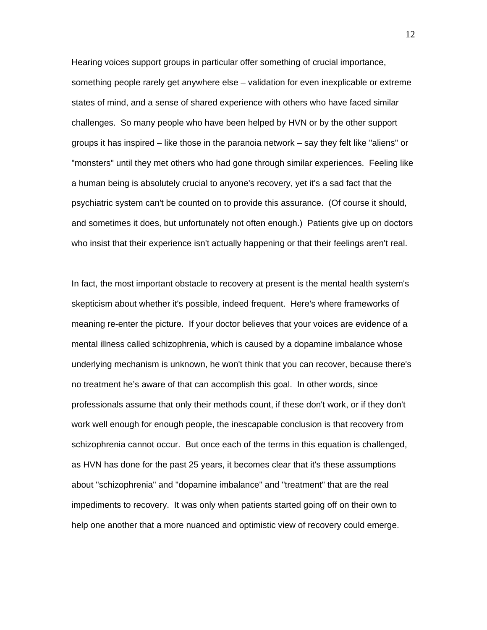Hearing voices support groups in particular offer something of crucial importance, something people rarely get anywhere else – validation for even inexplicable or extreme states of mind, and a sense of shared experience with others who have faced similar challenges. So many people who have been helped by HVN or by the other support groups it has inspired – like those in the paranoia network – say they felt like "aliens" or "monsters" until they met others who had gone through similar experiences. Feeling like a human being is absolutely crucial to anyone's recovery, yet it's a sad fact that the psychiatric system can't be counted on to provide this assurance. (Of course it should, and sometimes it does, but unfortunately not often enough.) Patients give up on doctors who insist that their experience isn't actually happening or that their feelings aren't real.

In fact, the most important obstacle to recovery at present is the mental health system's skepticism about whether it's possible, indeed frequent. Here's where frameworks of meaning re-enter the picture. If your doctor believes that your voices are evidence of a mental illness called schizophrenia, which is caused by a dopamine imbalance whose underlying mechanism is unknown, he won't think that you can recover, because there's no treatment he's aware of that can accomplish this goal. In other words, since professionals assume that only their methods count, if these don't work, or if they don't work well enough for enough people, the inescapable conclusion is that recovery from schizophrenia cannot occur. But once each of the terms in this equation is challenged, as HVN has done for the past 25 years, it becomes clear that it's these assumptions about "schizophrenia" and "dopamine imbalance" and "treatment" that are the real impediments to recovery. It was only when patients started going off on their own to help one another that a more nuanced and optimistic view of recovery could emerge.